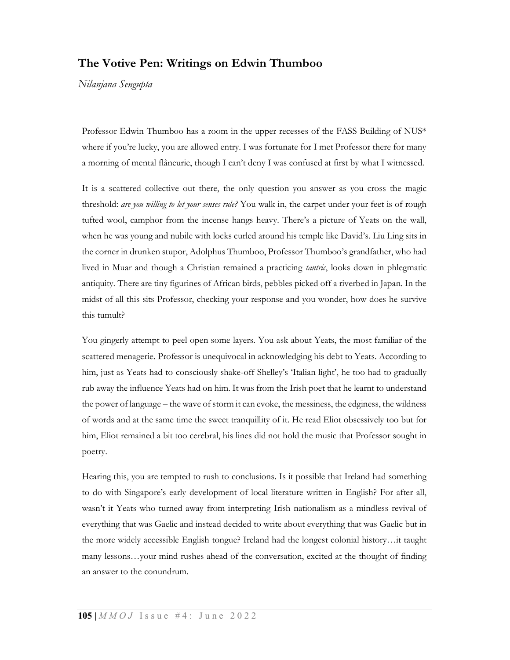## The Votive Pen: Writings on Edwin Thumboo

Nilanjana Sengupta

Professor Edwin Thumboo has a room in the upper recesses of the FASS Building of NUS\* where if you're lucky, you are allowed entry. I was fortunate for I met Professor there for many a morning of mental flâneurie, though I can't deny I was confused at first by what I witnessed.

It is a scattered collective out there, the only question you answer as you cross the magic threshold: are you willing to let your senses rule? You walk in, the carpet under your feet is of rough tufted wool, camphor from the incense hangs heavy. There's a picture of Yeats on the wall, when he was young and nubile with locks curled around his temple like David's. Liu Ling sits in the corner in drunken stupor, Adolphus Thumboo, Professor Thumboo's grandfather, who had lived in Muar and though a Christian remained a practicing tantric, looks down in phlegmatic antiquity. There are tiny figurines of African birds, pebbles picked off a riverbed in Japan. In the midst of all this sits Professor, checking your response and you wonder, how does he survive this tumult?

You gingerly attempt to peel open some layers. You ask about Yeats, the most familiar of the scattered menagerie. Professor is unequivocal in acknowledging his debt to Yeats. According to him, just as Yeats had to consciously shake-off Shelley's 'Italian light', he too had to gradually rub away the influence Yeats had on him. It was from the Irish poet that he learnt to understand the power of language – the wave of storm it can evoke, the messiness, the edginess, the wildness of words and at the same time the sweet tranquillity of it. He read Eliot obsessively too but for him, Eliot remained a bit too cerebral, his lines did not hold the music that Professor sought in poetry.

Hearing this, you are tempted to rush to conclusions. Is it possible that Ireland had something to do with Singapore's early development of local literature written in English? For after all, wasn't it Yeats who turned away from interpreting Irish nationalism as a mindless revival of everything that was Gaelic and instead decided to write about everything that was Gaelic but in the more widely accessible English tongue? Ireland had the longest colonial history…it taught many lessons…your mind rushes ahead of the conversation, excited at the thought of finding an answer to the conundrum.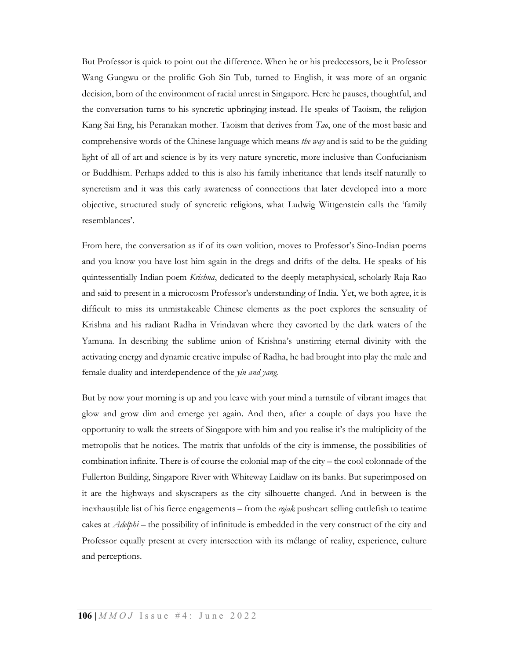But Professor is quick to point out the difference. When he or his predecessors, be it Professor Wang Gungwu or the prolific Goh Sin Tub, turned to English, it was more of an organic decision, born of the environment of racial unrest in Singapore. Here he pauses, thoughtful, and the conversation turns to his syncretic upbringing instead. He speaks of Taoism, the religion Kang Sai Eng, his Peranakan mother. Taoism that derives from Tao, one of the most basic and comprehensive words of the Chinese language which means *the way* and is said to be the guiding light of all of art and science is by its very nature syncretic, more inclusive than Confucianism or Buddhism. Perhaps added to this is also his family inheritance that lends itself naturally to syncretism and it was this early awareness of connections that later developed into a more objective, structured study of syncretic religions, what Ludwig Wittgenstein calls the 'family resemblances'.

From here, the conversation as if of its own volition, moves to Professor's Sino-Indian poems and you know you have lost him again in the dregs and drifts of the delta. He speaks of his quintessentially Indian poem *Krishna*, dedicated to the deeply metaphysical, scholarly Raja Rao and said to present in a microcosm Professor's understanding of India. Yet, we both agree, it is difficult to miss its unmistakeable Chinese elements as the poet explores the sensuality of Krishna and his radiant Radha in Vrindavan where they cavorted by the dark waters of the Yamuna. In describing the sublime union of Krishna's unstirring eternal divinity with the activating energy and dynamic creative impulse of Radha, he had brought into play the male and female duality and interdependence of the yin and yang.

But by now your morning is up and you leave with your mind a turnstile of vibrant images that glow and grow dim and emerge yet again. And then, after a couple of days you have the opportunity to walk the streets of Singapore with him and you realise it's the multiplicity of the metropolis that he notices. The matrix that unfolds of the city is immense, the possibilities of combination infinite. There is of course the colonial map of the city – the cool colonnade of the Fullerton Building, Singapore River with Whiteway Laidlaw on its banks. But superimposed on it are the highways and skyscrapers as the city silhouette changed. And in between is the inexhaustible list of his fierce engagements – from the rojak pushcart selling cuttlefish to teatime cakes at *Adelphi* – the possibility of infinitude is embedded in the very construct of the city and Professor equally present at every intersection with its mélange of reality, experience, culture and perceptions.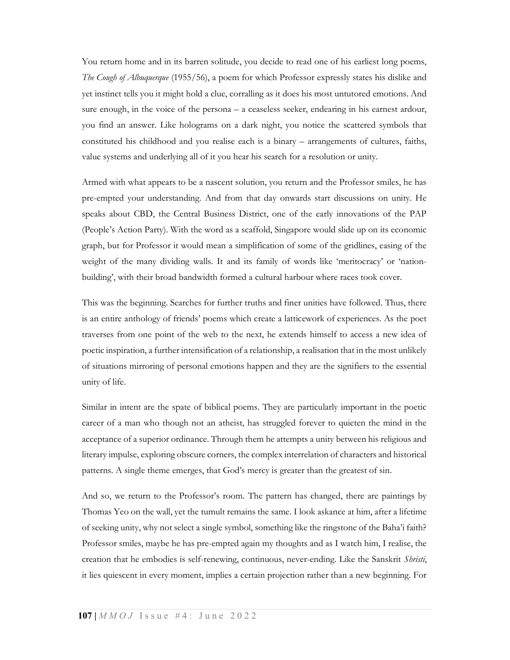You return home and in its barren solitude, you decide to read one of his earliest long poems, The Cough of Albuquerque (1955/56), a poem for which Professor expressly states his dislike and yet instinct tells you it might hold a clue, corralling as it does his most untutored emotions. And sure enough, in the voice of the persona – a ceaseless seeker, endearing in his earnest ardour, you find an answer. Like holograms on a dark night, you notice the scattered symbols that constituted his childhood and you realise each is a binary – arrangements of cultures, faiths, value systems and underlying all of it you hear his search for a resolution or unity.

Armed with what appears to be a nascent solution, you return and the Professor smiles, he has pre-empted your understanding. And from that day onwards start discussions on unity. He speaks about CBD, the Central Business District, one of the early innovations of the PAP (People's Action Party). With the word as a scaffold, Singapore would slide up on its economic graph, but for Professor it would mean a simplification of some of the gridlines, easing of the weight of the many dividing walls. It and its family of words like 'meritocracy' or 'nationbuilding', with their broad bandwidth formed a cultural harbour where races took cover.

This was the beginning. Searches for further truths and finer unities have followed. Thus, there is an entire anthology of friends' poems which create a latticework of experiences. As the poet traverses from one point of the web to the next, he extends himself to access a new idea of poetic inspiration, a further intensification of a relationship, a realisation that in the most unlikely of situations mirroring of personal emotions happen and they are the signifiers to the essential unity of life.

Similar in intent are the spate of biblical poems. They are particularly important in the poetic career of a man who though not an atheist, has struggled forever to quieten the mind in the acceptance of a superior ordinance. Through them he attempts a unity between his religious and literary impulse, exploring obscure corners, the complex interrelation of characters and historical patterns. A single theme emerges, that God's mercy is greater than the greatest of sin.

And so, we return to the Professor's room. The pattern has changed, there are paintings by Thomas Yeo on the wall, yet the tumult remains the same. I look askance at him, after a lifetime of seeking unity, why not select a single symbol, something like the ringstone of the Baha'i faith? Professor smiles, maybe he has pre-empted again my thoughts and as I watch him, I realise, the creation that he embodies is self-renewing, continuous, never-ending. Like the Sanskrit Shristi, it lies quiescent in every moment, implies a certain projection rather than a new beginning. For